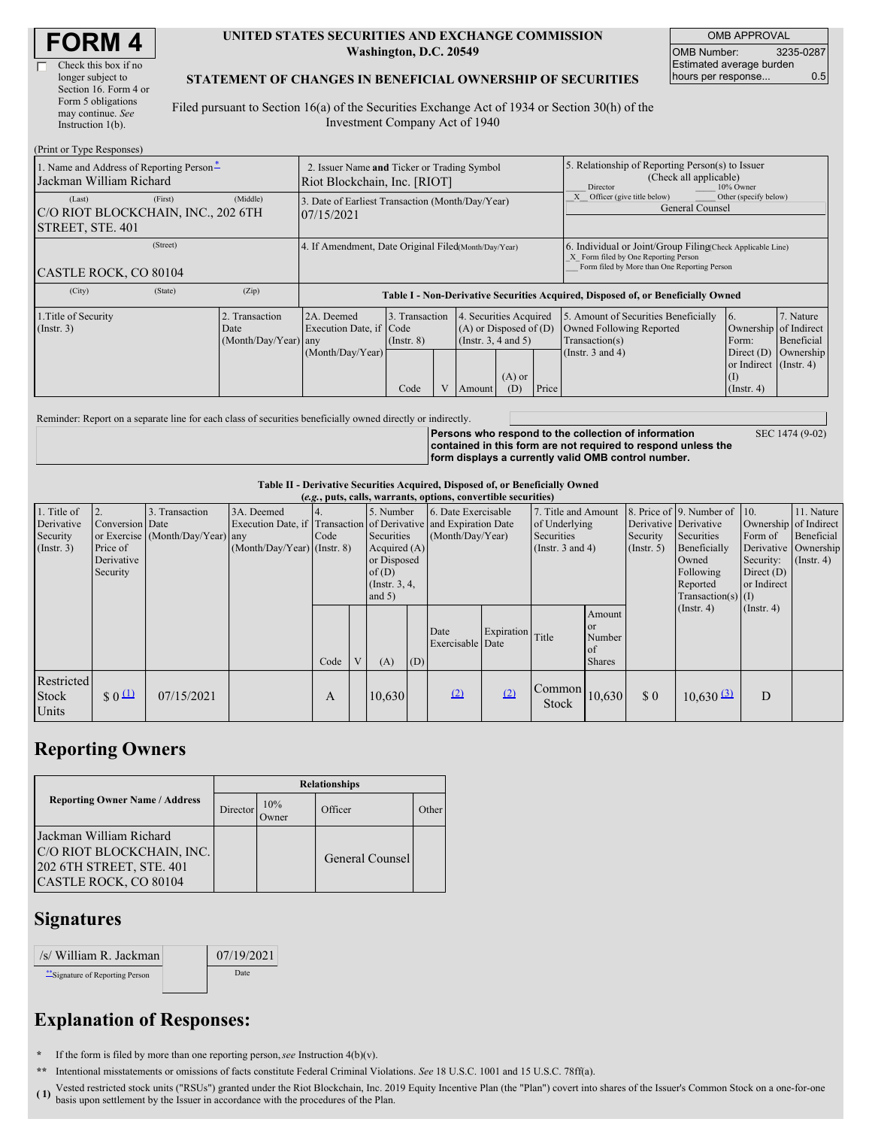| Check this box if no  |
|-----------------------|
| longer subject to     |
| Section 16. Form 4 or |
| Form 5 obligations    |
| may continue. See     |
| Instruction $1(b)$ .  |

#### **UNITED STATES SECURITIES AND EXCHANGE COMMISSION Washington, D.C. 20549**

OMB APPROVAL OMB Number: 3235-0287 Estimated average burden hours per response... 0.5

### **STATEMENT OF CHANGES IN BENEFICIAL OWNERSHIP OF SECURITIES**

Filed pursuant to Section 16(a) of the Securities Exchange Act of 1934 or Section 30(h) of the Investment Company Act of 1940

| (Print or Type Responses)                                                   |                                                                             |                                                                                  |                                                |  |                                                                                                                   |  |                                                                                                                                                    |                                                                                                             |                                                                                                                 |                                      |
|-----------------------------------------------------------------------------|-----------------------------------------------------------------------------|----------------------------------------------------------------------------------|------------------------------------------------|--|-------------------------------------------------------------------------------------------------------------------|--|----------------------------------------------------------------------------------------------------------------------------------------------------|-------------------------------------------------------------------------------------------------------------|-----------------------------------------------------------------------------------------------------------------|--------------------------------------|
| 1. Name and Address of Reporting Person-<br>Jackman William Richard         | 2. Issuer Name and Ticker or Trading Symbol<br>Riot Blockchain, Inc. [RIOT] |                                                                                  |                                                |  |                                                                                                                   |  | 5. Relationship of Reporting Person(s) to Issuer<br>(Check all applicable)<br>10% Owner<br>Director                                                |                                                                                                             |                                                                                                                 |                                      |
| (Last)<br>(First)<br>C/O RIOT BLOCKCHAIN, INC., 202 6TH<br>STREET, STE. 401 | (Middle)                                                                    | 3. Date of Earliest Transaction (Month/Day/Year)<br>07/15/2021                   |                                                |  |                                                                                                                   |  | Other (specify below)<br>Officer (give title below)<br>General Counsel                                                                             |                                                                                                             |                                                                                                                 |                                      |
| (Street)<br>CASTLE ROCK, CO 80104                                           | 4. If Amendment, Date Original Filed(Month/Day/Year)                        |                                                                                  |                                                |  |                                                                                                                   |  | 6. Individual or Joint/Group Filing Check Applicable Line)<br>X Form filed by One Reporting Person<br>Form filed by More than One Reporting Person |                                                                                                             |                                                                                                                 |                                      |
| (City)<br>(State)                                                           | (Zip)                                                                       | Table I - Non-Derivative Securities Acquired, Disposed of, or Beneficially Owned |                                                |  |                                                                                                                   |  |                                                                                                                                                    |                                                                                                             |                                                                                                                 |                                      |
| 1. Title of Security<br>$($ Instr. 3 $)$                                    | 2. Transaction<br>Date<br>(Month/Day/Year) any                              | 2A. Deemed<br>Execution Date, if Code<br>(Month/Day/Year)                        | 3. Transaction<br>$($ Instr. $8)$<br>V<br>Code |  | 4. Securities Acquired<br>$(A)$ or Disposed of $(D)$<br>(Instr. 3, 4 and 5)<br>$(A)$ or<br>Price<br>(D)<br>Amount |  |                                                                                                                                                    | 5. Amount of Securities Beneficially<br>Owned Following Reported<br>Transaction(s)<br>(Instr. $3$ and $4$ ) | 16.<br>Ownership of Indirect<br>Form:<br>Direct $(D)$<br>or Indirect (Instr. 4)<br>$\rm(I)$<br>$($ Instr. 4 $)$ | 7. Nature<br>Beneficial<br>Ownership |

Reminder: Report on a separate line for each class of securities beneficially owned directly or indirectly.

**Persons who respond to the collection of information contained in this form are not required to respond unless the form displays a currently valid OMB control number.**

SEC 1474 (9-02)

### **Table II - Derivative Securities Acquired, Disposed of, or Beneficially Owned**

| (e.g., puts, calls, warrants, options, convertible securities) |                                    |                                  |                               |      |              |                                                                                                                                                                              |     |                                     |                  |                                      |                                                                 |                                                                             |                                                              |                       |            |
|----------------------------------------------------------------|------------------------------------|----------------------------------|-------------------------------|------|--------------|------------------------------------------------------------------------------------------------------------------------------------------------------------------------------|-----|-------------------------------------|------------------|--------------------------------------|-----------------------------------------------------------------|-----------------------------------------------------------------------------|--------------------------------------------------------------|-----------------------|------------|
| 1. Title of<br>Derivative                                      | Conversion Date                    | 3. Transaction                   | 3A. Deemed                    |      |              | 5. Number                                                                                                                                                                    |     | 6. Date Exercisable                 |                  | 7. Title and Amount<br>of Underlying |                                                                 |                                                                             | 8. Price of 9. Number of 10.<br>Derivative Derivative        | Ownership of Indirect | 11. Nature |
| Security<br>(Insert. 3)                                        | Price of<br>Derivative<br>Security | or Exercise (Month/Day/Year) any | $(Month/Day/Year)$ (Instr. 8) | Code |              | Execution Date, if Transaction of Derivative and Expiration Date<br>Securities<br>(Month/Day/Year)<br>Acquired $(A)$<br>or Disposed<br>of(D)<br>$($ Instr. 3, 4,<br>and $5)$ |     | Securities<br>(Instr. $3$ and $4$ ) |                  | Security<br>$($ Instr. 5 $)$         | Securities<br>Beneficially<br>Owned<br>Following<br>Reported    | Form of<br>Derivative Ownership<br>Security:<br>Direct $(D)$<br>or Indirect | Beneficial<br>$($ Instr. 4)                                  |                       |            |
|                                                                |                                    |                                  |                               | Code | $\mathbf{V}$ | (A)                                                                                                                                                                          | (D) | Date<br>Exercisable Date            | Expiration Title |                                      | Amount<br><b>or</b><br>Number<br><sub>of</sub><br><b>Shares</b> |                                                                             | $Transaction(s)$ (I)<br>$($ Instr. 4 $)$<br>$($ Instr. 4 $)$ |                       |            |
| Restricted<br><b>Stock</b><br>Units                            | $\frac{1}{2}0$                     | 07/15/2021                       |                               | A    |              | 10.630                                                                                                                                                                       |     | (2)                                 | (2)              | Common<br>Stock                      | 10,630                                                          | \$0                                                                         | $10,630$ $\frac{(3)}{2}$                                     | D                     |            |

## **Reporting Owners**

|                                                                                                           | <b>Relationships</b> |              |                 |       |  |  |  |  |
|-----------------------------------------------------------------------------------------------------------|----------------------|--------------|-----------------|-------|--|--|--|--|
| <b>Reporting Owner Name / Address</b>                                                                     | Director             | 10%<br>Jwner | Officer         | Other |  |  |  |  |
| Jackman William Richard<br>C/O RIOT BLOCKCHAIN, INC.<br>202 6TH STREET, STE. 401<br>CASTLE ROCK, CO 80104 |                      |              | General Counsel |       |  |  |  |  |

### **Signatures**

| /s/ William R. Jackman           | 07/19/2021 |
|----------------------------------|------------|
| ** Signature of Reporting Person | Date       |

# **Explanation of Responses:**

**\*** If the form is filed by more than one reporting person,*see* Instruction 4(b)(v).

**\*\*** Intentional misstatements or omissions of facts constitute Federal Criminal Violations. *See* 18 U.S.C. 1001 and 15 U.S.C. 78ff(a).

(1)<sup>1</sup> Vested restricted stock units ("RSUs") granted under the Riot Blockchain, Inc. 2019 Equity Incentive Plan (the "Plan") covert into shares of the Issuer's Common Stock on a one-for-one basis upon settlement by the Issuer in accordance with the procedures of the Plan.